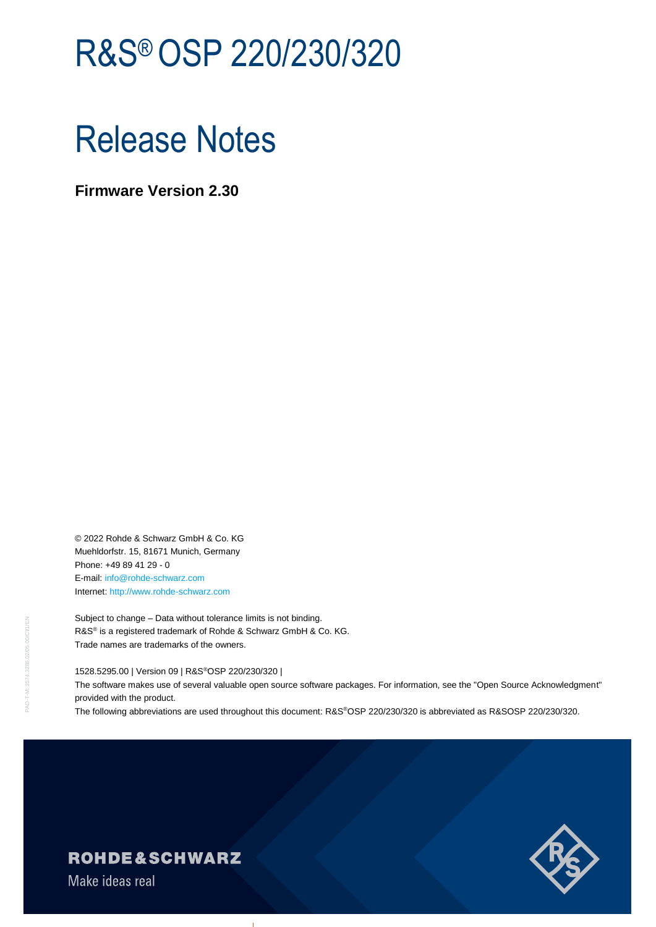# R&S®OSP 220/230/320

# Release Notes

**Firmware Version 2.30**

© 2022 Rohde & Schwarz GmbH & Co. KG Muehldorfstr. 15, 81671 Munich, Germany Phone: +49 89 41 29 - 0 E-mail: [info@rohde-schwarz.com](mailto:info@rohde-schwarz.com) Internet[: http://www.rohde-schwarz.com](http://www.rohde-schwarz.com/)

Subject to change – Data without tolerance limits is not binding. R&S<sup>®</sup> is a registered trademark of Rohde & Schwarz GmbH & Co. KG. Trade names are trademarks of the owners.

1528.5295.00 | Version 09 | R&S®OSP 220/230/320 |

The software makes use of several valuable open source software packages. For information, see the "Open Source Acknowledgment" provided with the product.

The following abbreviations are used throughout this document: R&S®OSP 220/230/320 is abbreviated as R&SOSP 220/230/320.



### **ROHDE&SCHWARZ**

Make ideas real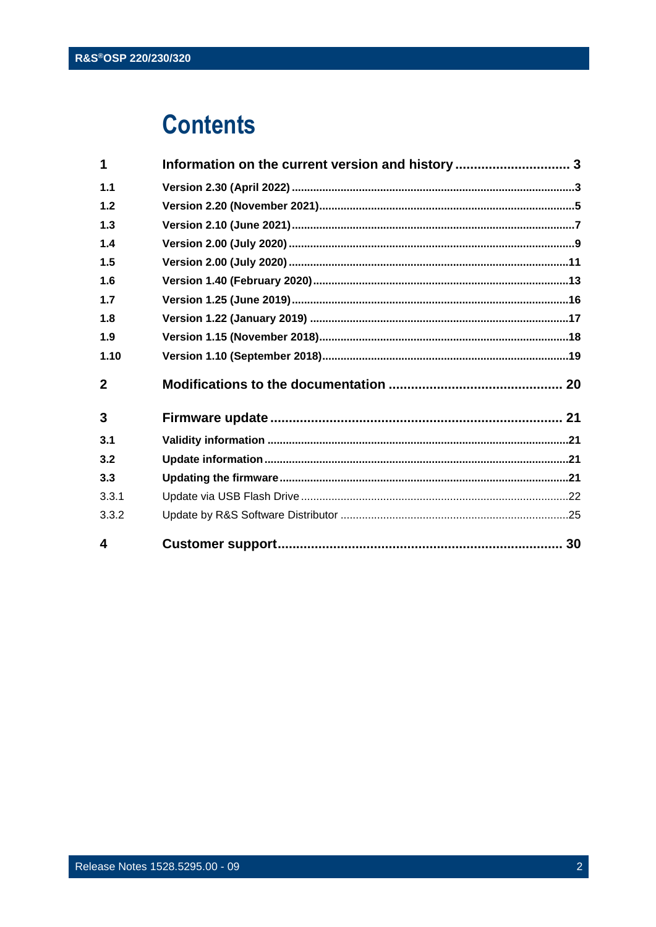## **Contents**

| 1            | Information on the current version and history 3 |  |
|--------------|--------------------------------------------------|--|
| 1.1          |                                                  |  |
| 1.2          |                                                  |  |
| 1.3          |                                                  |  |
| 1.4          |                                                  |  |
| 1.5          |                                                  |  |
| 1.6          |                                                  |  |
| 1.7          |                                                  |  |
| 1.8          |                                                  |  |
| 1.9          |                                                  |  |
| 1.10         |                                                  |  |
| $\mathbf{2}$ |                                                  |  |
| 3            |                                                  |  |
| 3.1          |                                                  |  |
| 3.2          |                                                  |  |
| 3.3          |                                                  |  |
| 3.3.1        |                                                  |  |
| 3.3.2        |                                                  |  |
| 4            |                                                  |  |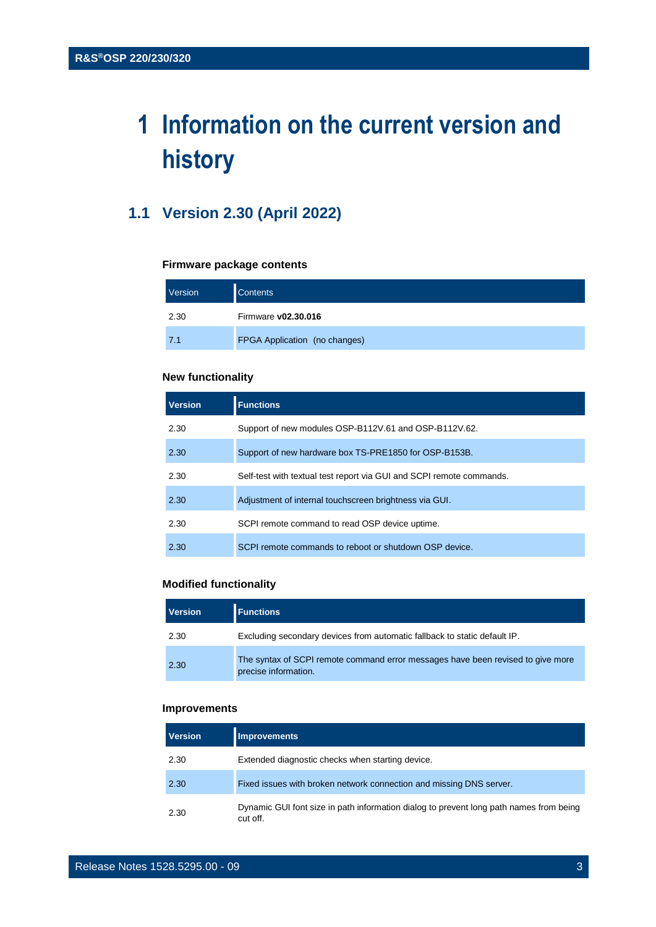## <span id="page-2-0"></span>**1 Information on the current version and history**

### <span id="page-2-1"></span>**1.1 Version 2.30 (April 2022)**

#### **Firmware package contents**

| Version | <b>Contents</b>               |
|---------|-------------------------------|
| 2.30    | Firmware v02.30.016           |
| 7.1     | FPGA Application (no changes) |

#### **New functionality**

| <b>Version</b> | <b>Functions</b>                                                     |
|----------------|----------------------------------------------------------------------|
| 2.30           | Support of new modules OSP-B112V.61 and OSP-B112V.62.                |
| 2.30           | Support of new hardware box TS-PRE1850 for OSP-B153B.                |
| 2.30           | Self-test with textual test report via GUI and SCPI remote commands. |
| 2.30           | Adjustment of internal touchscreen brightness via GUI.               |
| 2.30           | SCPI remote command to read OSP device uptime.                       |
| 2.30           | SCPI remote commands to reboot or shutdown OSP device.               |

#### **Modified functionality**

| Version | <b>Functions</b>                                                                                        |
|---------|---------------------------------------------------------------------------------------------------------|
| 2.30    | Excluding secondary devices from automatic fallback to static default IP.                               |
| 2.30    | The syntax of SCPI remote command error messages have been revised to give more<br>precise information. |

#### **Improvements**

| <b>Version</b> | <b>Improvements</b>                                                                                |
|----------------|----------------------------------------------------------------------------------------------------|
| 2.30           | Extended diagnostic checks when starting device.                                                   |
| 2.30           | Fixed issues with broken network connection and missing DNS server.                                |
| 2.30           | Dynamic GUI font size in path information dialog to prevent long path names from being<br>cut off. |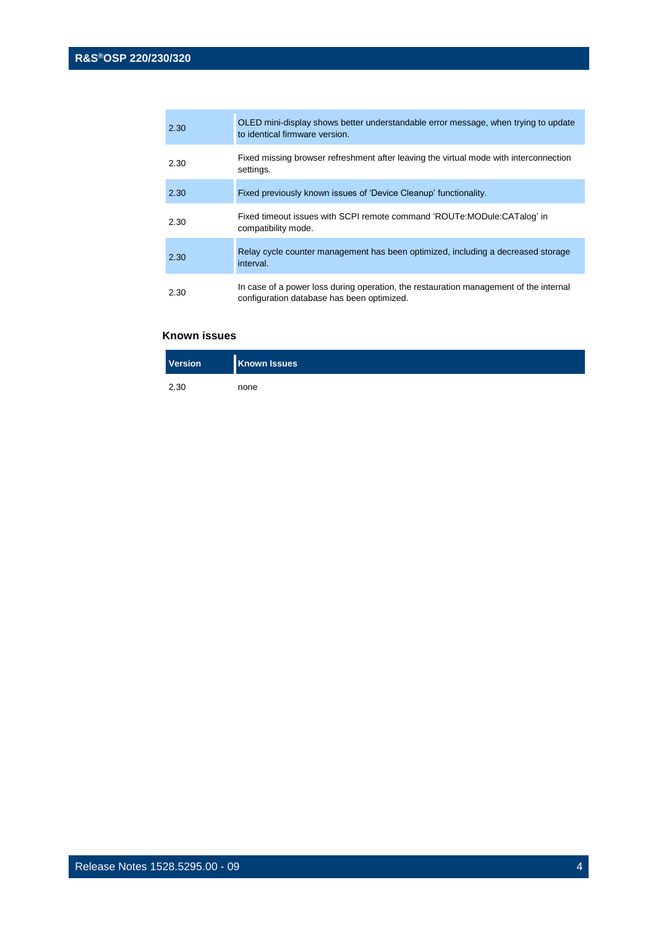| 2.30 | OLED mini-display shows better understandable error message, when trying to update<br>to identical firmware version.                |
|------|-------------------------------------------------------------------------------------------------------------------------------------|
| 2.30 | Fixed missing browser refreshment after leaving the virtual mode with interconnection<br>settings.                                  |
| 2.30 | Fixed previously known issues of 'Device Cleanup' functionality.                                                                    |
| 2.30 | Fixed timeout issues with SCPI remote command 'ROUTe:MODule:CATalog' in<br>compatibility mode.                                      |
| 2.30 | Relay cycle counter management has been optimized, including a decreased storage<br>interval.                                       |
| 2.30 | In case of a power loss during operation, the restauration management of the internal<br>configuration database has been optimized. |

| <b>Version</b> | <b>Known Issues</b> |
|----------------|---------------------|
| 2.30           | none                |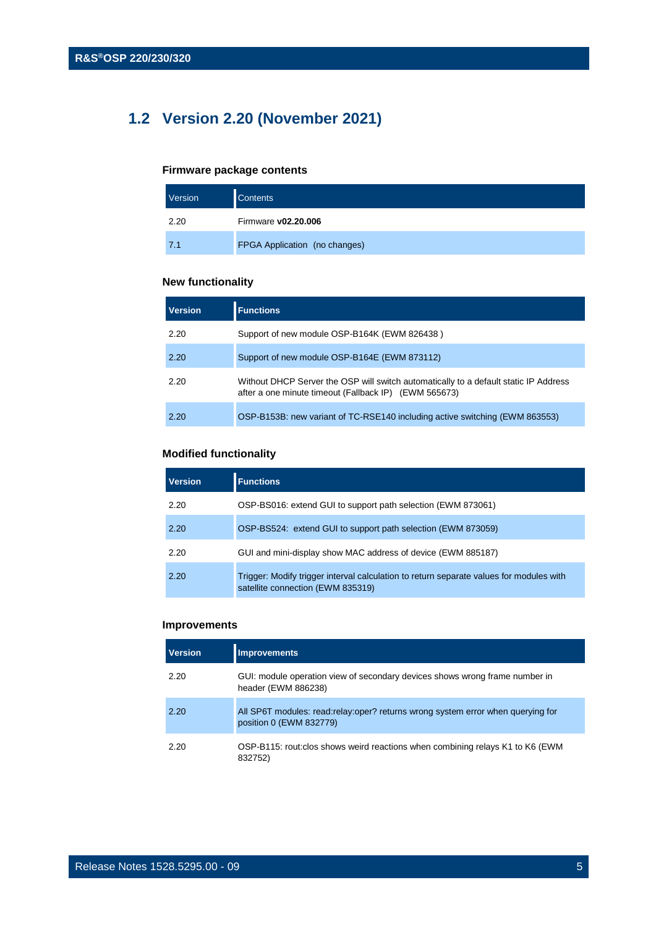## <span id="page-4-0"></span>**1.2 Version 2.20 (November 2021)**

#### **Firmware package contents**

| Version | <b>Contents</b>               |
|---------|-------------------------------|
| 2.20    | Firmware v02.20.006           |
| 7.1     | FPGA Application (no changes) |

#### **New functionality**

| <b>Version</b> | <b>Functions</b>                                                                                                                              |
|----------------|-----------------------------------------------------------------------------------------------------------------------------------------------|
| 2.20           | Support of new module OSP-B164K (EWM 826438)                                                                                                  |
| 2.20           | Support of new module OSP-B164E (EWM 873112)                                                                                                  |
| 2.20           | Without DHCP Server the OSP will switch automatically to a default static IP Address<br>after a one minute timeout (Fallback IP) (EWM 565673) |
| 2.20           | OSP-B153B: new variant of TC-RSE140 including active switching (EWM 863553)                                                                   |

#### **Modified functionality**

| <b>Version</b> | <b>Functions</b>                                                                                                             |
|----------------|------------------------------------------------------------------------------------------------------------------------------|
| 2.20           | OSP-BS016: extend GUI to support path selection (EWM 873061)                                                                 |
| 2.20           | OSP-BS524: extend GUI to support path selection (EWM 873059)                                                                 |
| 2.20           | GUI and mini-display show MAC address of device (EWM 885187)                                                                 |
| 2.20           | Trigger: Modify trigger interval calculation to return separate values for modules with<br>satellite connection (EWM 835319) |

#### **Improvements**

| <b>Version</b> | <b>Improvements</b>                                                                                          |
|----------------|--------------------------------------------------------------------------------------------------------------|
| 2.20           | GUI: module operation view of secondary devices shows wrong frame number in<br>header (EWM 886238)           |
| 2.20           | All SP6T modules: read: relay: oper? returns wrong system error when querying for<br>position 0 (EWM 832779) |
| 2.20           | OSP-B115: rout: clos shows weird reactions when combining relays K1 to K6 (EWM)<br>832752)                   |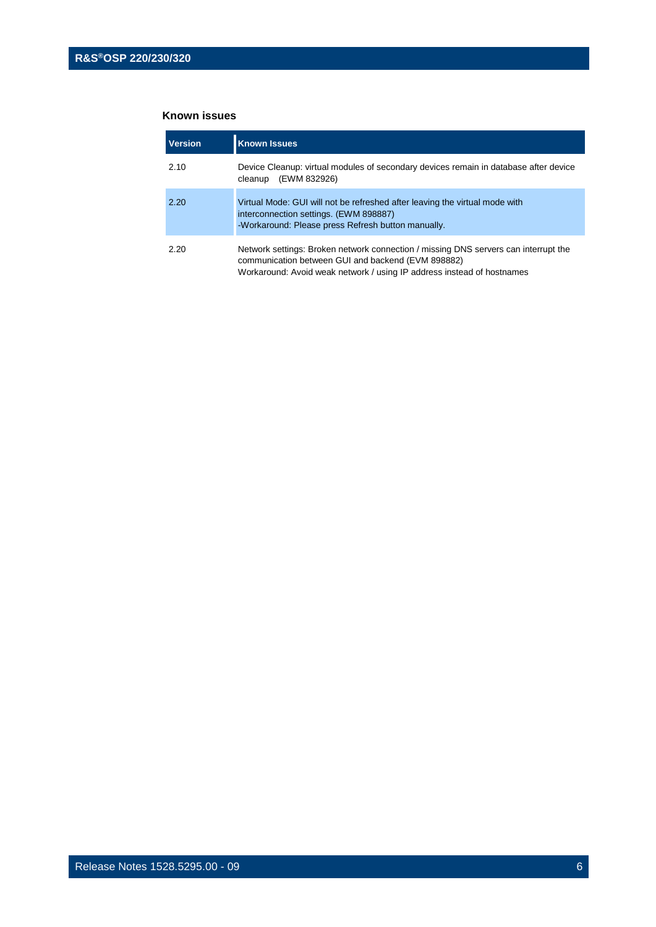| <b>Version</b> | <b>Known Issues</b>                                                                                                                                                                                                 |
|----------------|---------------------------------------------------------------------------------------------------------------------------------------------------------------------------------------------------------------------|
| 2.10           | Device Cleanup: virtual modules of secondary devices remain in database after device<br>(EWM 832926)<br>cleanup                                                                                                     |
| 2.20           | Virtual Mode: GUI will not be refreshed after leaving the virtual mode with<br>interconnection settings. (EWM 898887)<br>-Workaround: Please press Refresh button manually.                                         |
| 2.20           | Network settings: Broken network connection / missing DNS servers can interrupt the<br>communication between GUI and backend (EVM 898882)<br>Workaround: Avoid weak network / using IP address instead of hostnames |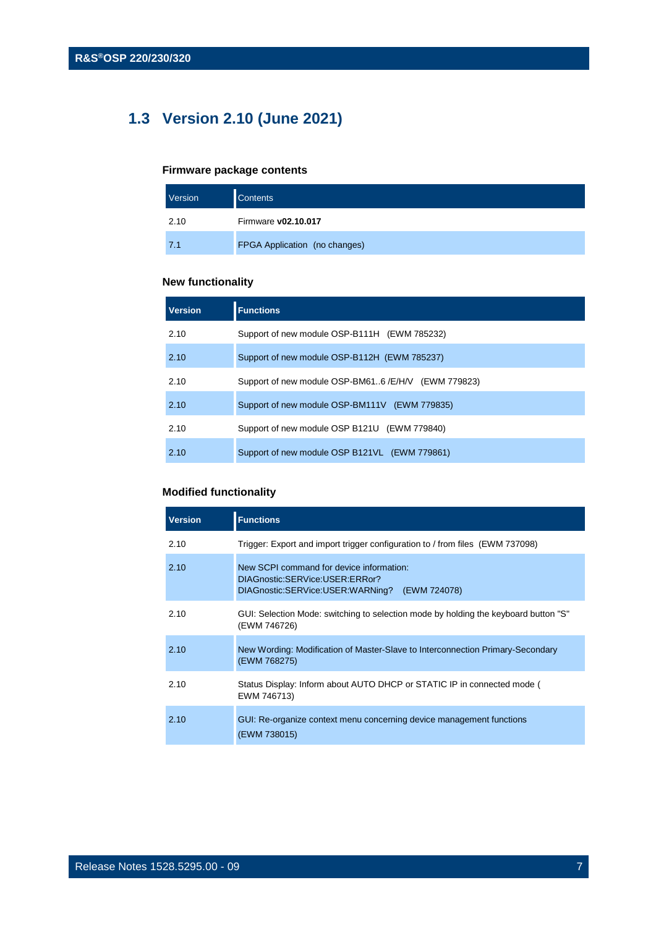## <span id="page-6-0"></span>**1.3 Version 2.10 (June 2021)**

#### **Firmware package contents**

| Version | <b>Contents</b>               |
|---------|-------------------------------|
| 2.10    | Firmware v02.10.017           |
| 7.1     | FPGA Application (no changes) |

#### **New functionality**

| <b>Version</b> | <b>Functions</b>                                    |
|----------------|-----------------------------------------------------|
| 2.10           | Support of new module OSP-B111H (EWM 785232)        |
| 2.10           | Support of new module OSP-B112H (EWM 785237)        |
| 2.10           | Support of new module OSP-BM616 /E/H/V (EWM 779823) |
| 2.10           | Support of new module OSP-BM111V (EWM 779835)       |
| 2.10           | Support of new module OSP B121U (EWM 779840)        |
| 2.10           | Support of new module OSP B121VL (EWM 779861)       |

#### **Modified functionality**

| <b>Version</b> | <b>Functions</b>                                                                                                               |
|----------------|--------------------------------------------------------------------------------------------------------------------------------|
| 2.10           | Trigger: Export and import trigger configuration to / from files (EWM 737098)                                                  |
| 2.10           | New SCPI command for device information:<br>DIAGnostic:SERVice:USER:ERRor?<br>DIAGnostic:SERVice:USER:WARNing?<br>(EWM 724078) |
| 2.10           | GUI: Selection Mode: switching to selection mode by holding the keyboard button "S"<br>(EWM 746726)                            |
| 2.10           | New Wording: Modification of Master-Slave to Interconnection Primary-Secondary<br>(EWM 768275)                                 |
| 2.10           | Status Display: Inform about AUTO DHCP or STATIC IP in connected mode (<br>EWM 746713)                                         |
| 2.10           | GUI: Re-organize context menu concerning device management functions<br>(EWM 738015)                                           |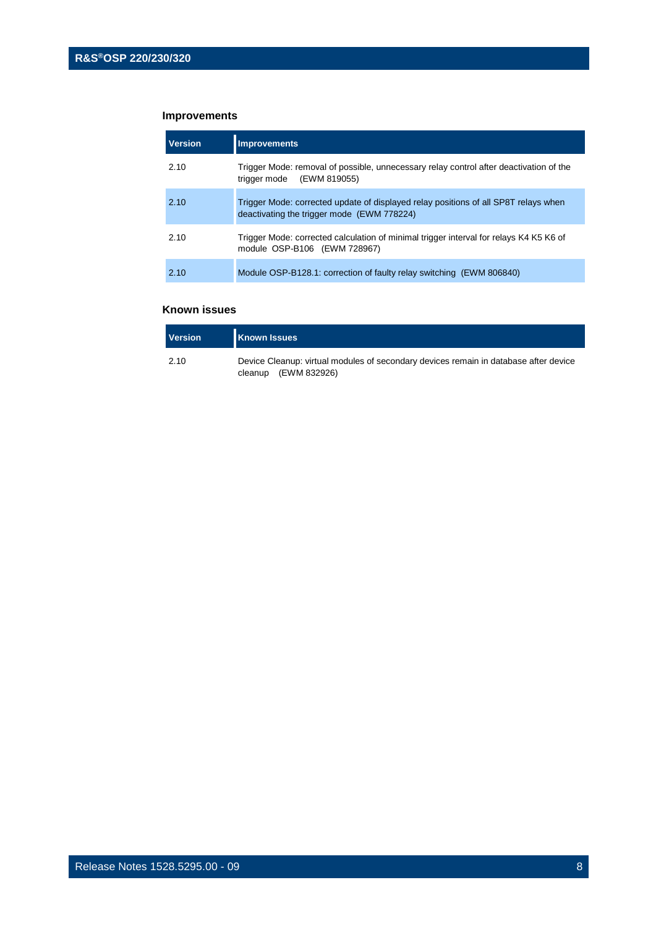#### **Improvements**

| <b>Version</b> | <b>Improvements</b>                                                                                                               |
|----------------|-----------------------------------------------------------------------------------------------------------------------------------|
| 2.10           | Trigger Mode: removal of possible, unnecessary relay control after deactivation of the<br>trigger mode (EWM 819055)               |
| 2.10           | Trigger Mode: corrected update of displayed relay positions of all SP8T relays when<br>deactivating the trigger mode (EWM 778224) |
| 2.10           | Trigger Mode: corrected calculation of minimal trigger interval for relays K4 K5 K6 of<br>module OSP-B106 (EWM 728967)            |
| 2.10           | Module OSP-B128.1: correction of faulty relay switching (EWM 806840)                                                              |

| <b>Version</b> | <b>Known Issues</b>                                                                                            |
|----------------|----------------------------------------------------------------------------------------------------------------|
| 2.10           | Device Cleanup: virtual modules of secondary devices remain in database after device<br>cleanup $(EWM 832926)$ |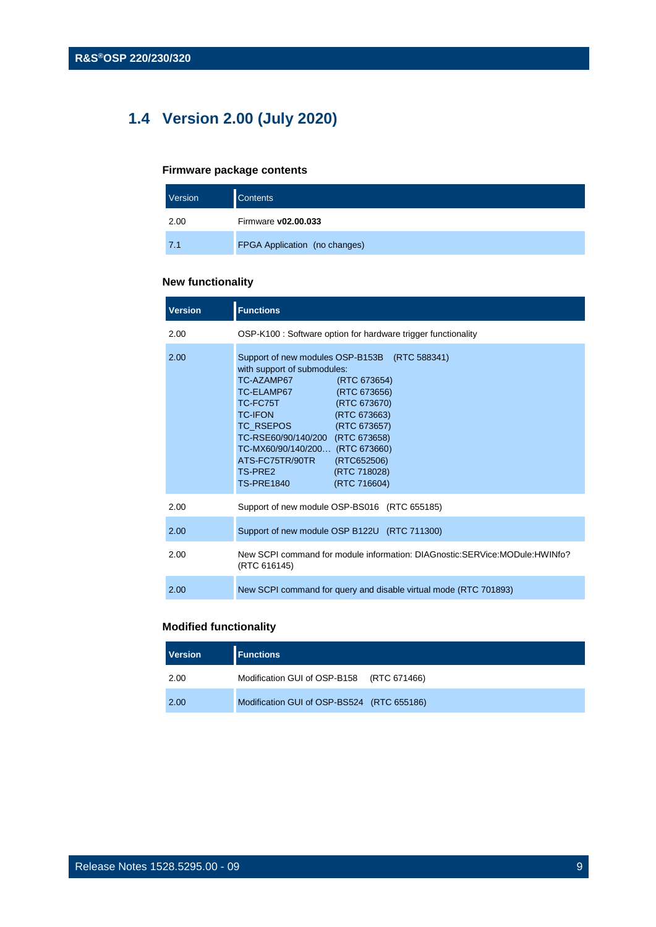## <span id="page-8-0"></span>**1.4 Version 2.00 (July 2020)**

#### **Firmware package contents**

| Version | <b>Contents</b>               |
|---------|-------------------------------|
| 2.00    | Firmware v02.00.033           |
| 7.1     | FPGA Application (no changes) |

#### **New functionality**

| <b>Version</b> | <b>Functions</b>                                                                                                                                                                                                                                                                                                                                                                                          |
|----------------|-----------------------------------------------------------------------------------------------------------------------------------------------------------------------------------------------------------------------------------------------------------------------------------------------------------------------------------------------------------------------------------------------------------|
| 2.00           | OSP-K100 : Software option for hardware trigger functionality                                                                                                                                                                                                                                                                                                                                             |
| 2.00           | Support of new modules OSP-B153B (RTC 588341)<br>with support of submodules:<br>TC-AZAMP67<br>(RTC 673654)<br>TC-ELAMP67<br>(RTC 673656)<br>(RTC 673670)<br>TC-FC75T<br><b>TC-IFON</b><br>(RTC 673663)<br>TC RSEPOS (RTC 673657)<br>TC-RSE60/90/140/200 (RTC 673658)<br>TC-MX60/90/140/200 (RTC 673660)<br>ATS-FC75TR/90TR<br>(RTC652506)<br>TS-PRE2<br>(RTC 718028)<br><b>TS-PRE1840</b><br>(RTC 716604) |
| 2.00           | Support of new module OSP-BS016 (RTC 655185)                                                                                                                                                                                                                                                                                                                                                              |
| 2.00           | Support of new module OSP B122U (RTC 711300)                                                                                                                                                                                                                                                                                                                                                              |
| 2.00           | New SCPI command for module information: DIAGnostic:SERVice:MODule:HWINfo?<br>(RTC 616145)                                                                                                                                                                                                                                                                                                                |
| 2.00           | New SCPI command for query and disable virtual mode (RTC 701893)                                                                                                                                                                                                                                                                                                                                          |

#### **Modified functionality**

| <b>Version</b> | <b>Functions</b>                           |  |
|----------------|--------------------------------------------|--|
| 2.00           | Modification GUI of OSP-B158 (RTC 671466)  |  |
| 2.00           | Modification GUI of OSP-BS524 (RTC 655186) |  |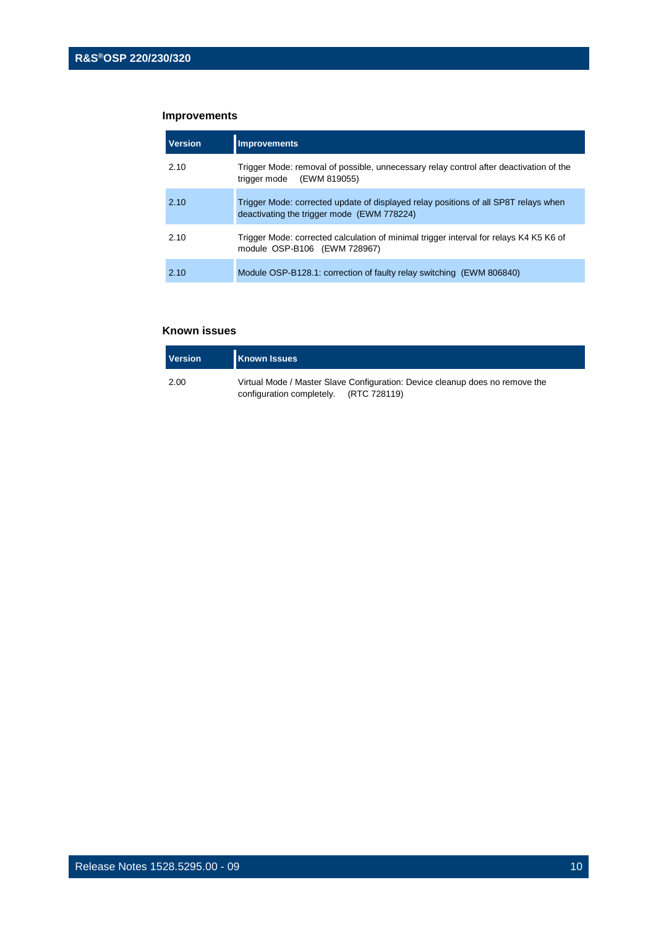#### **Improvements**

| <b>Version</b> | <b>Improvements</b>                                                                                                               |
|----------------|-----------------------------------------------------------------------------------------------------------------------------------|
| 2.10           | Trigger Mode: removal of possible, unnecessary relay control after deactivation of the<br>trigger mode (EWM 819055)               |
| 2.10           | Trigger Mode: corrected update of displayed relay positions of all SP8T relays when<br>deactivating the trigger mode (EWM 778224) |
| 2.10           | Trigger Mode: corrected calculation of minimal trigger interval for relays K4 K5 K6 of<br>module OSP-B106 (EWM 728967)            |
| 2.10           | Module OSP-B128.1: correction of faulty relay switching (EWM 806840)                                                              |

| <b>Version</b> | <b>Known Issues</b>                                                                                                    |
|----------------|------------------------------------------------------------------------------------------------------------------------|
| 2.00           | Virtual Mode / Master Slave Configuration: Device cleanup does no remove the<br>configuration completely. (RTC 728119) |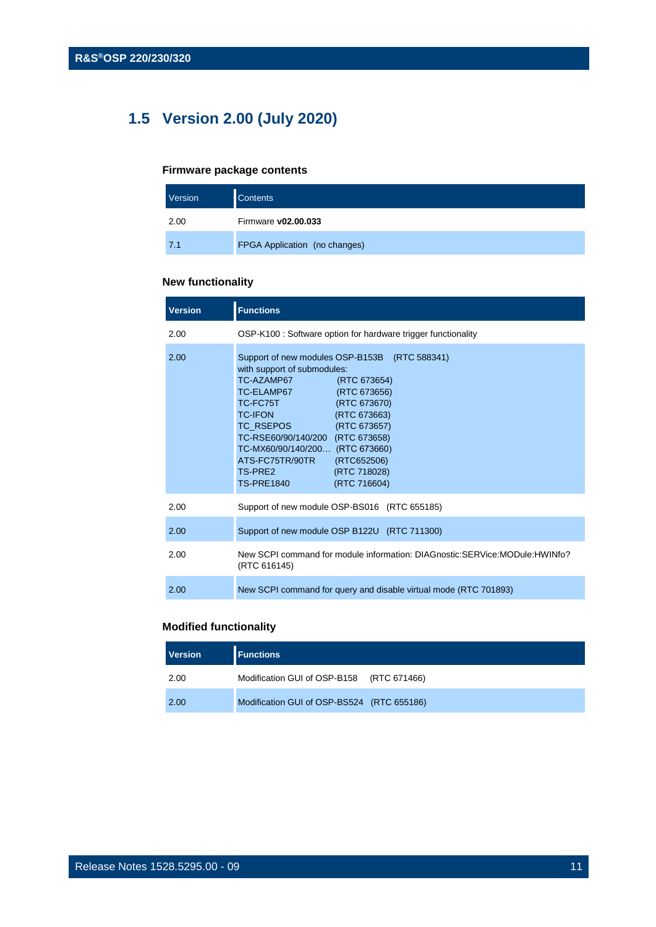## <span id="page-10-0"></span>**1.5 Version 2.00 (July 2020)**

#### **Firmware package contents**

| Version | <b>Contents</b>               |
|---------|-------------------------------|
| 2.00    | Firmware v02.00.033           |
| 7.1     | FPGA Application (no changes) |

#### **New functionality**

| <b>Version</b> | <b>Functions</b>                                                                                                                                                                                                                                                                                                                                                                                          |
|----------------|-----------------------------------------------------------------------------------------------------------------------------------------------------------------------------------------------------------------------------------------------------------------------------------------------------------------------------------------------------------------------------------------------------------|
| 2.00           | OSP-K100 : Software option for hardware trigger functionality                                                                                                                                                                                                                                                                                                                                             |
| 2.00           | Support of new modules OSP-B153B (RTC 588341)<br>with support of submodules:<br>TC-AZAMP67<br>(RTC 673654)<br>TC-ELAMP67<br>(RTC 673656)<br>(RTC 673670)<br>TC-FC75T<br><b>TC-IFON</b><br>(RTC 673663)<br>TC_RSEPOS (RTC 673657)<br>TC-RSE60/90/140/200 (RTC 673658)<br>TC-MX60/90/140/200 (RTC 673660)<br>ATS-FC75TR/90TR<br>(RTC652506)<br>TS-PRE2<br>(RTC 718028)<br><b>TS-PRE1840</b><br>(RTC 716604) |
| 2.00           | Support of new module OSP-BS016 (RTC 655185)                                                                                                                                                                                                                                                                                                                                                              |
| 2.00           | Support of new module OSP B122U (RTC 711300)                                                                                                                                                                                                                                                                                                                                                              |
| 2.00           | New SCPI command for module information: DIAGnostic:SERVice:MODule:HWINfo?<br>(RTC 616145)                                                                                                                                                                                                                                                                                                                |
| 2.00           | New SCPI command for query and disable virtual mode (RTC 701893)                                                                                                                                                                                                                                                                                                                                          |

#### **Modified functionality**

| <b>Version</b> | <b>Functions</b>                           |  |
|----------------|--------------------------------------------|--|
| 2.00           | Modification GUI of OSP-B158 (RTC 671466)  |  |
| 2.00           | Modification GUI of OSP-BS524 (RTC 655186) |  |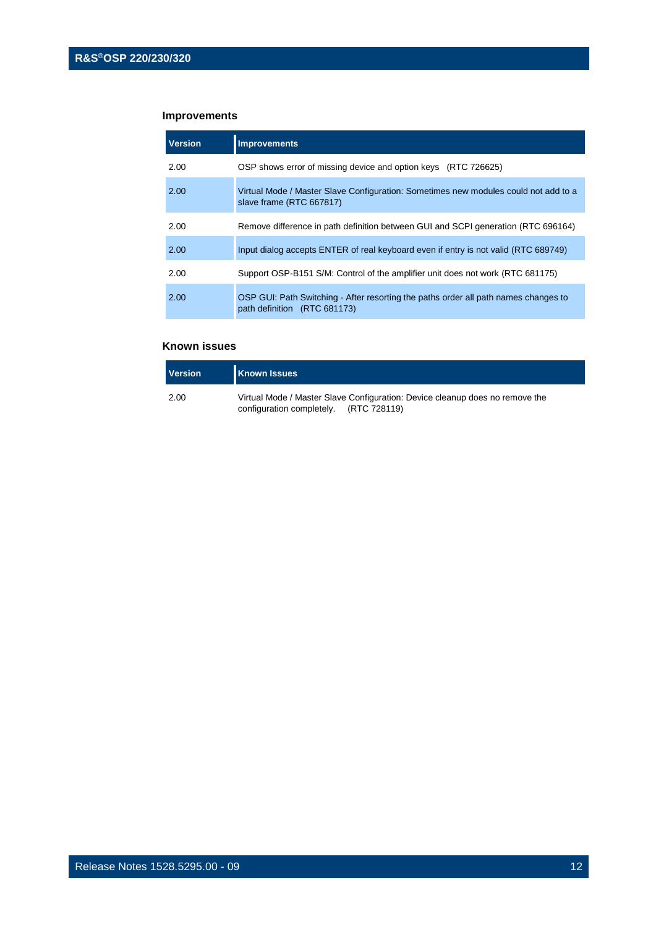#### **Improvements**

| <b>Version</b> | <b>Improvements</b>                                                                                                 |
|----------------|---------------------------------------------------------------------------------------------------------------------|
| 2.00           | OSP shows error of missing device and option keys (RTC 726625)                                                      |
| 2.00           | Virtual Mode / Master Slave Configuration: Sometimes new modules could not add to a<br>slave frame (RTC 667817)     |
| 2.00           | Remove difference in path definition between GUI and SCPI generation (RTC 696164)                                   |
| 2.00           | Input dialog accepts ENTER of real keyboard even if entry is not valid (RTC 689749)                                 |
| 2.00           | Support OSP-B151 S/M: Control of the amplifier unit does not work (RTC 681175)                                      |
| 2.00           | OSP GUI: Path Switching - After resorting the paths order all path names changes to<br>path definition (RTC 681173) |

| <b>Version</b> | <b>Known Issues</b>                                                                                                    |
|----------------|------------------------------------------------------------------------------------------------------------------------|
| 2.00           | Virtual Mode / Master Slave Configuration: Device cleanup does no remove the<br>configuration completely. (RTC 728119) |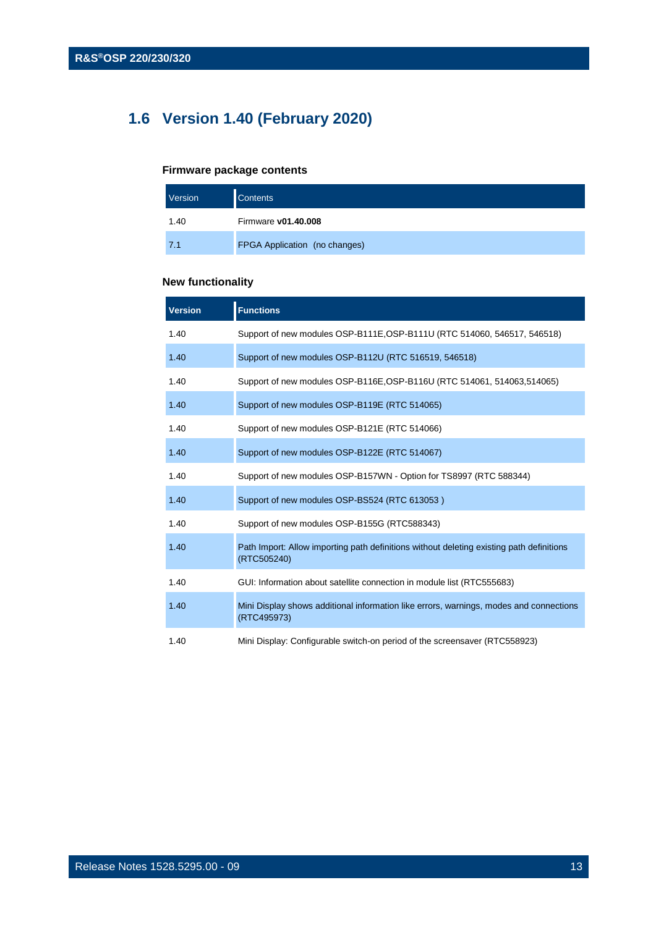## <span id="page-12-0"></span>**1.6 Version 1.40 (February 2020)**

#### **Firmware package contents**

| Version | <b>Contents</b>               |
|---------|-------------------------------|
| 1.40    | Firmware v01.40.008           |
| 7.1     | FPGA Application (no changes) |

#### **New functionality**

| <b>Version</b> | <b>Functions</b>                                                                                        |
|----------------|---------------------------------------------------------------------------------------------------------|
| 1.40           | Support of new modules OSP-B111E, OSP-B111U (RTC 514060, 546517, 546518)                                |
| 1.40           | Support of new modules OSP-B112U (RTC 516519, 546518)                                                   |
| 1.40           | Support of new modules OSP-B116E, OSP-B116U (RTC 514061, 514063, 514065)                                |
| 1.40           | Support of new modules OSP-B119E (RTC 514065)                                                           |
| 1.40           | Support of new modules OSP-B121E (RTC 514066)                                                           |
| 1.40           | Support of new modules OSP-B122E (RTC 514067)                                                           |
| 1.40           | Support of new modules OSP-B157WN - Option for TS8997 (RTC 588344)                                      |
| 1.40           | Support of new modules OSP-BS524 (RTC 613053)                                                           |
| 1.40           | Support of new modules OSP-B155G (RTC588343)                                                            |
| 1.40           | Path Import: Allow importing path definitions without deleting existing path definitions<br>(RTC505240) |
| 1.40           | GUI: Information about satellite connection in module list (RTC555683)                                  |
| 1.40           | Mini Display shows additional information like errors, warnings, modes and connections<br>(RTC495973)   |
| 1.40           | Mini Display: Configurable switch-on period of the screensaver (RTC558923)                              |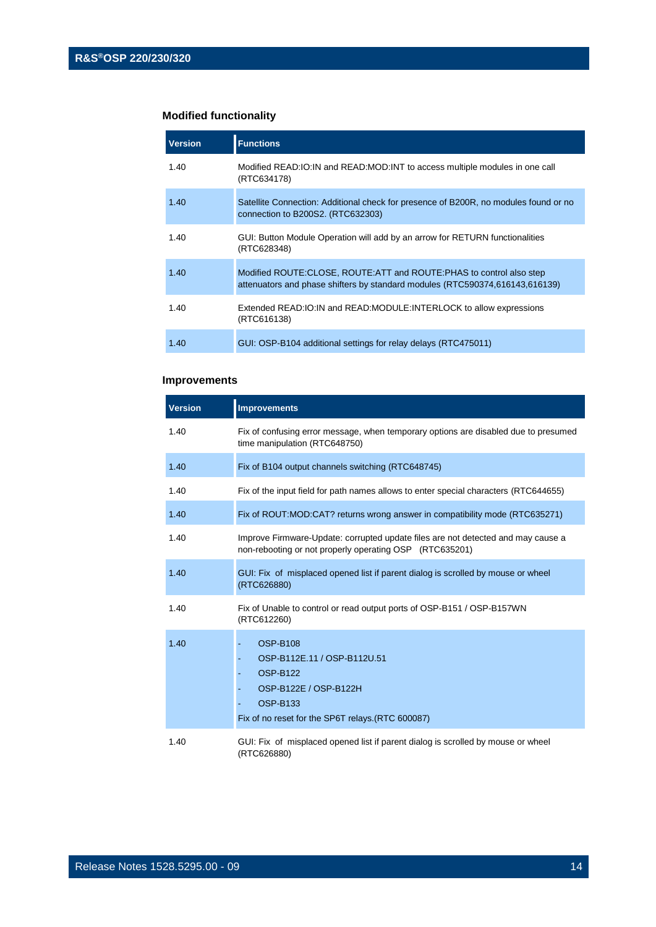#### **Modified functionality**

| <b>Version</b> | <b>Functions</b>                                                                                                                                       |
|----------------|--------------------------------------------------------------------------------------------------------------------------------------------------------|
| 1.40           | Modified READ: IO: IN and READ: MOD: INT to access multiple modules in one call<br>(RTC634178)                                                         |
| 1.40           | Satellite Connection: Additional check for presence of B200R, no modules found or no<br>connection to B200S2. (RTC632303)                              |
| 1.40           | GUI: Button Module Operation will add by an arrow for RETURN functionalities<br>(RTC628348)                                                            |
| 1.40           | Modified ROUTE: CLOSE, ROUTE: ATT and ROUTE: PHAS to control also step<br>attenuators and phase shifters by standard modules (RTC590374,616143,616139) |
| 1.40           | Extended READ: IO: IN and READ: MODULE: INTERLOCK to allow expressions<br>(RTC616138)                                                                  |
| 1.40           | GUI: OSP-B104 additional settings for relay delays (RTC475011)                                                                                         |

#### **Improvements**

| <b>Version</b> | <b>Improvements</b>                                                                                                                                                |
|----------------|--------------------------------------------------------------------------------------------------------------------------------------------------------------------|
| 1.40           | Fix of confusing error message, when temporary options are disabled due to presumed<br>time manipulation (RTC648750)                                               |
| 1.40           | Fix of B104 output channels switching (RTC648745)                                                                                                                  |
| 1.40           | Fix of the input field for path names allows to enter special characters (RTC644655)                                                                               |
| 1.40           | Fix of ROUT:MOD:CAT? returns wrong answer in compatibility mode (RTC635271)                                                                                        |
| 1.40           | Improve Firmware-Update: corrupted update files are not detected and may cause a<br>non-rebooting or not properly operating OSP (RTC635201)                        |
| 1.40           | GUI: Fix of misplaced opened list if parent dialog is scrolled by mouse or wheel<br>(RTC626880)                                                                    |
| 1.40           | Fix of Unable to control or read output ports of OSP-B151 / OSP-B157WN<br>(RTC612260)                                                                              |
| 1.40           | <b>OSP-B108</b><br>OSP-B112E.11 / OSP-B112U.51<br><b>OSP-B122</b><br>OSP-B122E / OSP-B122H<br><b>OSP-B133</b><br>Fix of no reset for the SP6T relays. (RTC 600087) |
| 1.40           | GUI: Fix of misplaced opened list if parent dialog is scrolled by mouse or wheel<br>(RTC626880)                                                                    |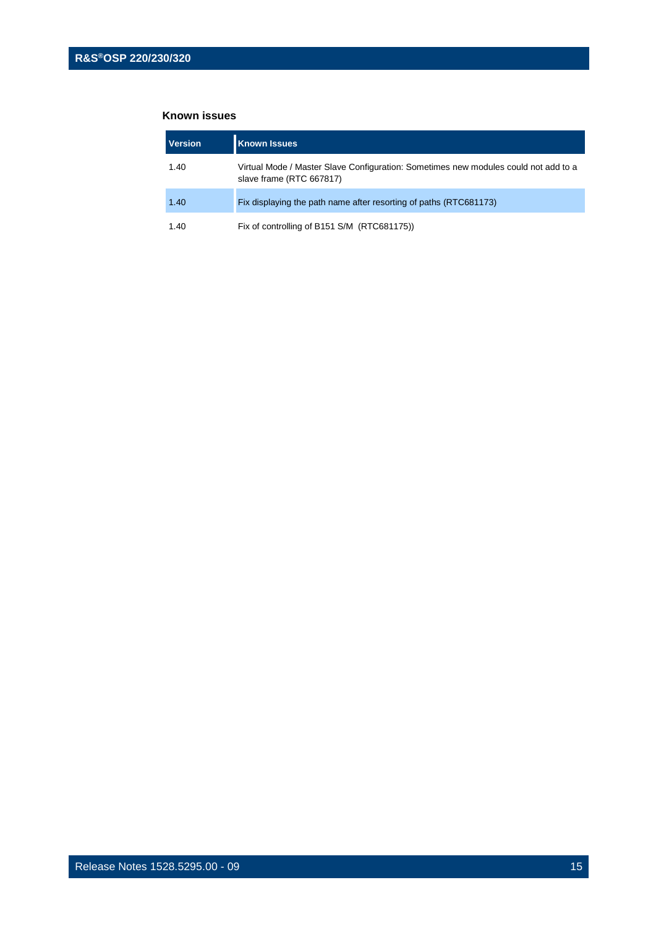| Version | <b>Known Issues</b>                                                                                             |
|---------|-----------------------------------------------------------------------------------------------------------------|
| 1.40    | Virtual Mode / Master Slave Configuration: Sometimes new modules could not add to a<br>slave frame (RTC 667817) |
| 1.40    | Fix displaying the path name after resorting of paths (RTC681173)                                               |
| 1.40    | Fix of controlling of B151 S/M (RTC681175))                                                                     |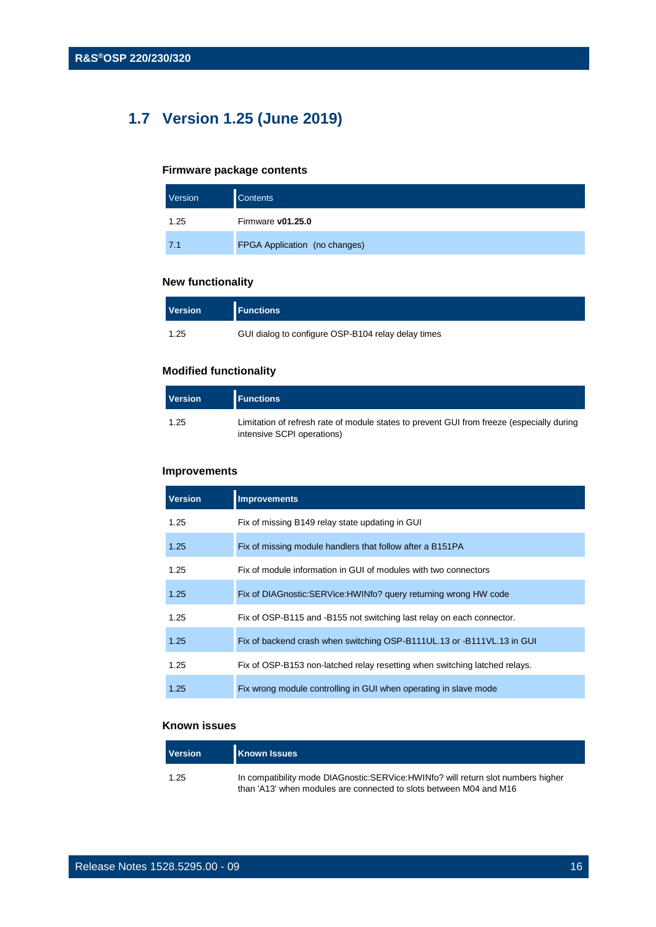## <span id="page-15-0"></span>**1.7 Version 1.25 (June 2019)**

#### **Firmware package contents**

| Version | <b>Contents</b>               |
|---------|-------------------------------|
| 1.25    | Firmware v01.25.0             |
| 7.1     | FPGA Application (no changes) |

#### **New functionality**

| <b>Version</b> | <b>Functions</b>                                   |
|----------------|----------------------------------------------------|
| 1.25           | GUI dialog to configure OSP-B104 relay delay times |

#### **Modified functionality**

| Version | <b>Functions</b>                                                                                                        |
|---------|-------------------------------------------------------------------------------------------------------------------------|
| 1.25    | Limitation of refresh rate of module states to prevent GUI from freeze (especially during<br>intensive SCPI operations) |

#### **Improvements**

| Version | <b>Known Issues</b>                                                                                                                                    |
|---------|--------------------------------------------------------------------------------------------------------------------------------------------------------|
| 1.25    | In compatibility mode DIAGnostic:SERVice:HWINfo? will return slot numbers higher<br>than 'A13' when modules are connected to slots between M04 and M16 |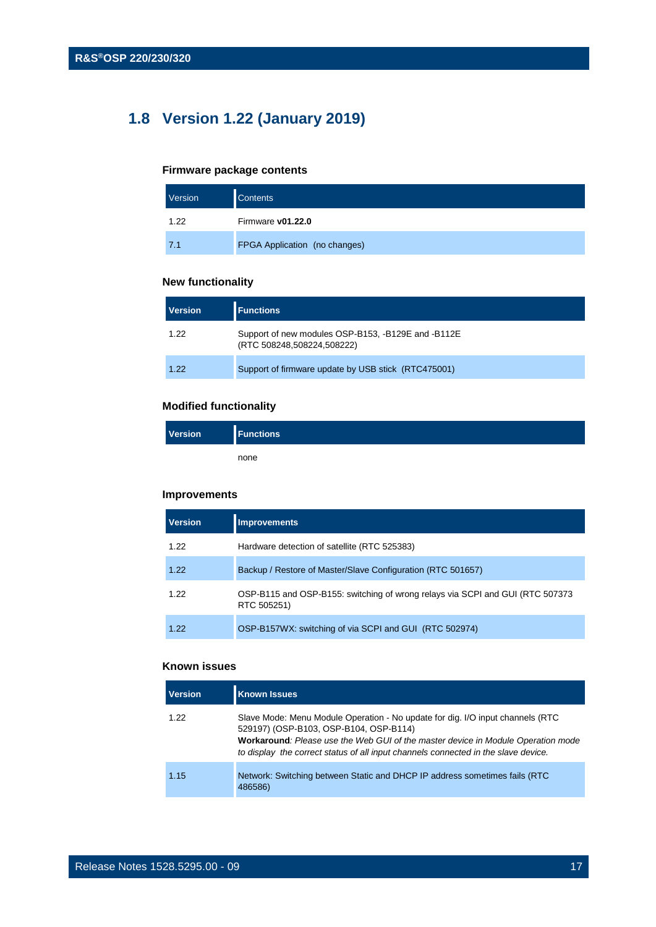## <span id="page-16-0"></span>**1.8 Version 1.22 (January 2019)**

#### **Firmware package contents**

| Version | <b>Contents</b>               |
|---------|-------------------------------|
| 1.22    | Firmware v01.22.0             |
| 7.1     | FPGA Application (no changes) |

#### **New functionality**

| <b>Version</b> | <b>Functions</b>                                                                 |
|----------------|----------------------------------------------------------------------------------|
| 1.22           | Support of new modules OSP-B153, -B129E and -B112E<br>(RTC 508248,508224,508222) |
| 1.22           | Support of firmware update by USB stick (RTC475001)                              |

#### **Modified functionality**

| <b>Version</b> | <b>Functions</b> |
|----------------|------------------|
|                | none             |

#### **Improvements**

| <b>Version</b> | <b>Improvements</b>                                                                           |
|----------------|-----------------------------------------------------------------------------------------------|
| 1.22           | Hardware detection of satellite (RTC 525383)                                                  |
| 1.22           | Backup / Restore of Master/Slave Configuration (RTC 501657)                                   |
| 1.22           | OSP-B115 and OSP-B155: switching of wrong relays via SCPI and GUI (RTC 507373)<br>RTC 505251) |
| 1.22           | OSP-B157WX: switching of via SCPI and GUI (RTC 502974)                                        |

| <b>Version</b> | <b>Known Issues</b>                                                                                                                                                                                                                                                                                |
|----------------|----------------------------------------------------------------------------------------------------------------------------------------------------------------------------------------------------------------------------------------------------------------------------------------------------|
| 1.22           | Slave Mode: Menu Module Operation - No update for dig. I/O input channels (RTC<br>529197) (OSP-B103, OSP-B104, OSP-B114)<br>Workaround: Please use the Web GUI of the master device in Module Operation mode<br>to display the correct status of all input channels connected in the slave device. |
| 1.15           | Network: Switching between Static and DHCP IP address sometimes fails (RTC<br>486586)                                                                                                                                                                                                              |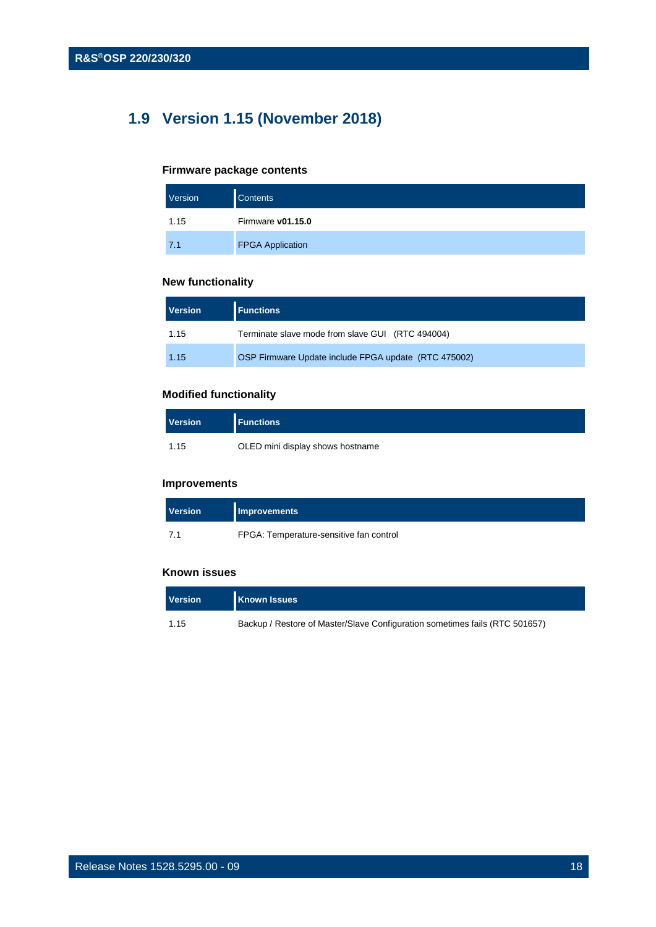## <span id="page-17-0"></span>**1.9 Version 1.15 (November 2018)**

#### **Firmware package contents**

| Version | <b>Contents</b>         |
|---------|-------------------------|
| 1.15    | Firmware v01.15.0       |
| 7.1     | <b>FPGA Application</b> |

#### **New functionality**

| <b>Version</b> | <b>Functions</b>                                     |
|----------------|------------------------------------------------------|
| 1.15           | Terminate slave mode from slave GUI (RTC 494004)     |
| 1.15           | OSP Firmware Update include FPGA update (RTC 475002) |

#### **Modified functionality**

| <b>Version</b> | <b>Functions</b>                 |
|----------------|----------------------------------|
| 1.15           | OLED mini display shows hostname |

#### **Improvements**

| <b>Version</b> | <b>Improvements</b>                     |
|----------------|-----------------------------------------|
| 7.1            | FPGA: Temperature-sensitive fan control |

| <b>Version</b> | <b>Known Issues</b>                                                         |
|----------------|-----------------------------------------------------------------------------|
| 1.15           | Backup / Restore of Master/Slave Configuration sometimes fails (RTC 501657) |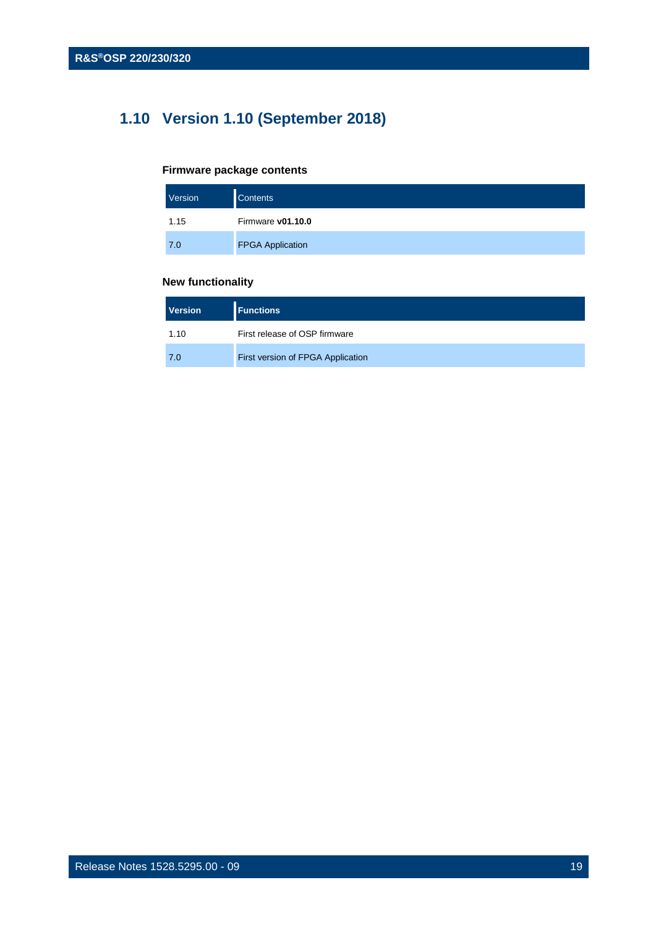## <span id="page-18-0"></span>**1.10 Version 1.10 (September 2018)**

#### **Firmware package contents**

| Version | <b>Contents</b>         |
|---------|-------------------------|
| 1.15    | Firmware v01.10.0       |
| 7.0     | <b>FPGA Application</b> |

#### **New functionality**

| <b>Version</b> | <b>Functions</b>                  |
|----------------|-----------------------------------|
| 1.10           | First release of OSP firmware     |
| 7.0            | First version of FPGA Application |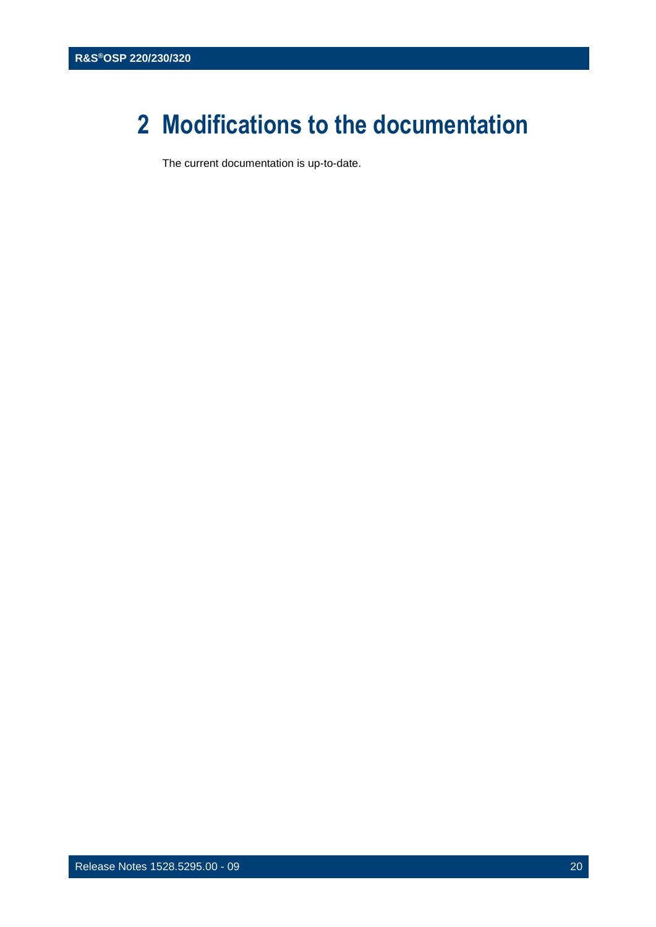## <span id="page-19-0"></span>**2 Modifications to the documentation**

The current documentation is up-to-date.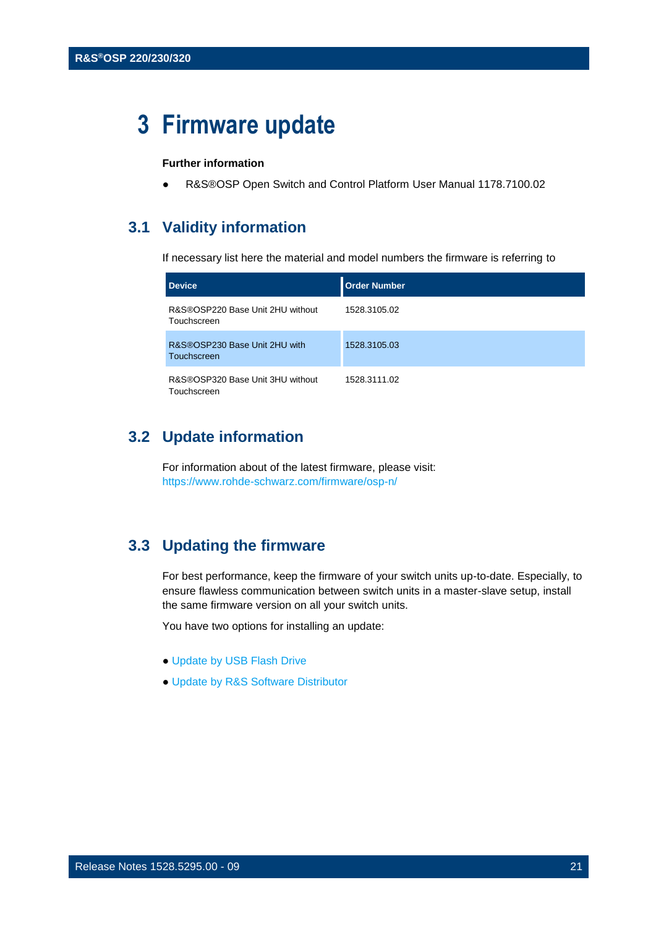## <span id="page-20-0"></span>**3 Firmware update**

#### **Further information**

<span id="page-20-1"></span>R&S®OSP Open Switch and Control Platform User Manual 1178.7100.02

#### **3.1 Validity information**

If necessary list here the material and model numbers the firmware is referring to

| <b>Device</b>                                   | Order Number |
|-------------------------------------------------|--------------|
| R&S®OSP220 Base Unit 2HU without<br>Touchscreen | 1528.3105.02 |
| R&S®OSP230 Base Unit 2HU with<br>Touchscreen    | 1528.3105.03 |
| R&S®OSP320 Base Unit 3HU without<br>Touchscreen | 1528.3111.02 |

#### <span id="page-20-2"></span>**3.2 Update information**

For information about of the latest firmware, please visit: <https://www.rohde-schwarz.com/firmware/osp-n/>

### <span id="page-20-3"></span>**3.3 Updating the firmware**

For best performance, keep the firmware of your switch units up-to-date. Especially, to ensure flawless communication between switch units in a master-slave setup, install the same firmware version on all your switch units.

You have two options for installing an update:

- Update by USB Flash Drive
- Update by R&S Software Distributor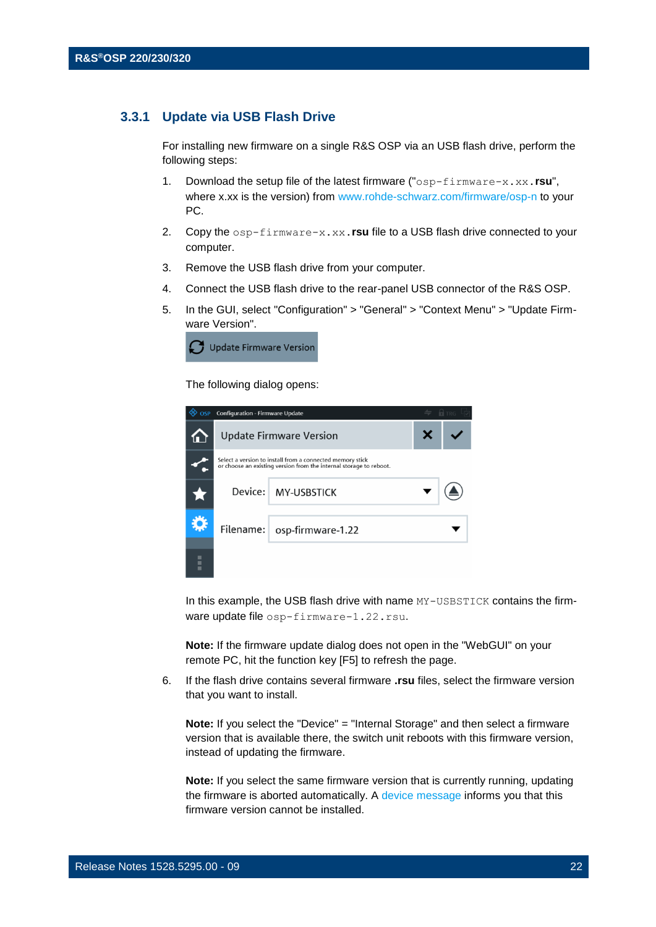#### **3.3.1 Update via USB Flash Drive**

<span id="page-21-0"></span>For installing new firmware on a single R&S OSP via an USB flash drive, perform the following steps:

- 1. Download the setup file of the latest firmware ("osp-firmware-x.xx.**rsu**", where x.xx is the version) from www.rohde-schwarz.com/firmware/osp-n to your PC.
- 2. Copy the osp-firmware-x.xx.**rsu** file to a USB flash drive connected to your computer.
- 3. Remove the USB flash drive from your computer.
- 4. Connect the USB flash drive to the rear-panel USB connector of the R&S OSP.
- 5. In the GUI, select "Configuration" > "General" > "Context Menu" > "Update Firmware Version".



The following dialog opens:

| OSP Configuration - Firmware Update                                                                                             | <b>n</b> TRG                  |  |
|---------------------------------------------------------------------------------------------------------------------------------|-------------------------------|--|
| <b>Update Firmware Version</b>                                                                                                  |                               |  |
| Select a version to install from a connected memory stick<br>or choose an existing version from the internal storage to reboot. |                               |  |
|                                                                                                                                 | Device: MY-USBSTICK           |  |
|                                                                                                                                 | Filename:   osp-firmware-1.22 |  |
|                                                                                                                                 |                               |  |

In this example, the USB flash drive with name  $MY-UBBSTICK$  contains the firmware update file osp-firmware-1.22.rsu.

**Note:** If the firmware update dialog does not open in the "WebGUI" on your remote PC, hit the function key [F5] to refresh the page.

6. If the flash drive contains several firmware **.rsu** files, select the firmware version that you want to install.

**Note:** If you select the "Device" = "Internal Storage" and then select a firmware version that is available there, the switch unit reboots with this firmware version, instead of updating the firmware.

**Note:** If you select the same firmware version that is currently running, updating the firmware is aborted automatically. A device message informs you that this firmware version cannot be installed.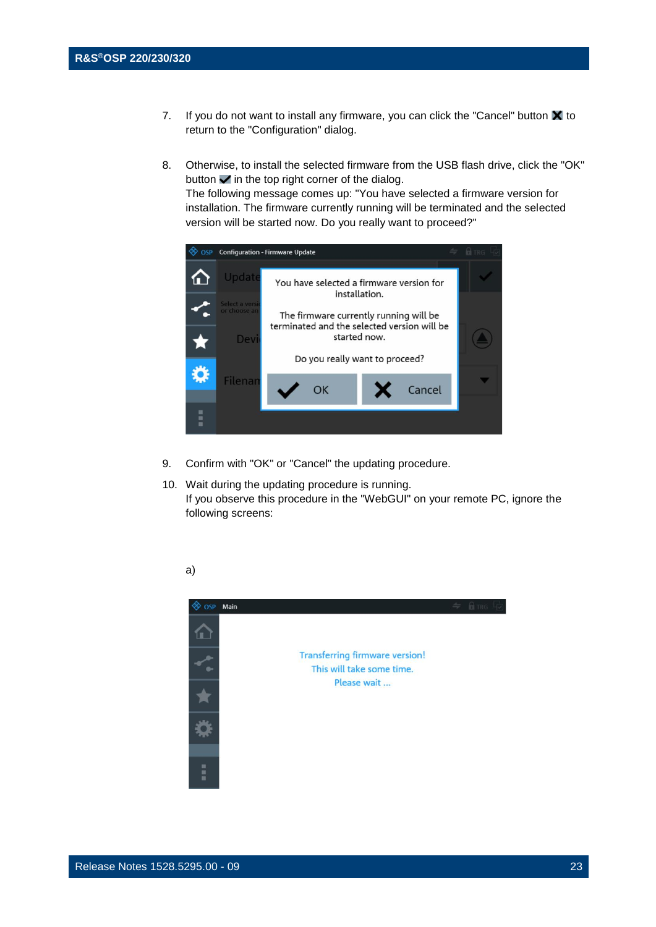- 7. If you do not want to install any firmware, you can click the "Cancel" button  $\blacksquare$  to return to the "Configuration" dialog.
- 8. Otherwise, to install the selected firmware from the USB flash drive, click the "OK" button  $\blacktriangleright$  in the top right corner of the dialog. The following message comes up: "You have selected a firmware version for

installation. The firmware currently running will be terminated and the selected version will be started now. Do you really want to proceed?"



- 9. Confirm with "OK" or "Cancel" the updating procedure.
- 10. Wait during the updating procedure is running. If you observe this procedure in the "WebGUI" on your remote PC, ignore the following screens:



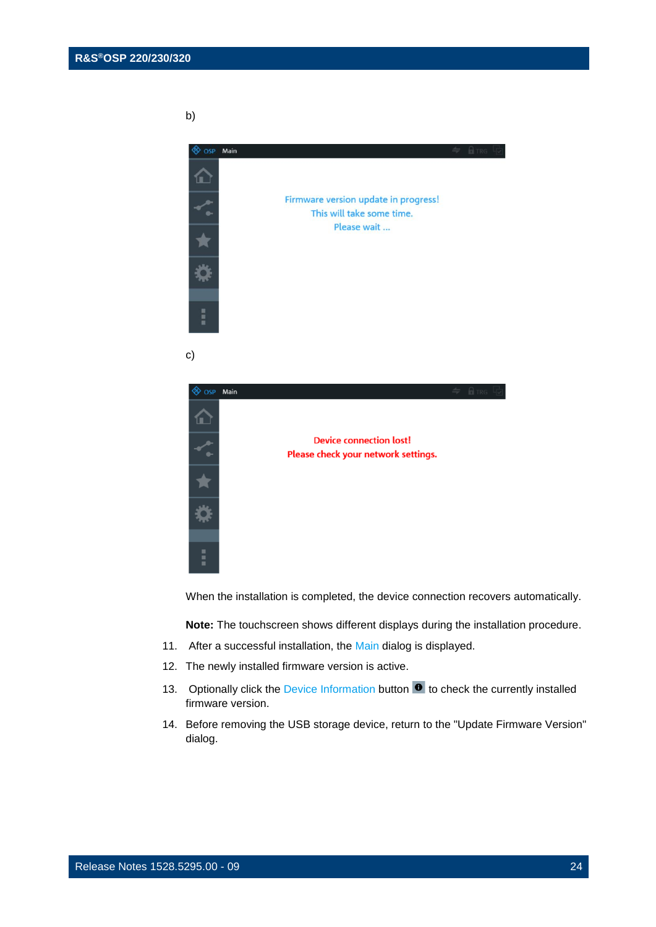b)





When the installation is completed, the device connection recovers automatically.

**Note:** The touchscreen shows different displays during the installation procedure.

- 11. After a successful installation, the Main dialog is displayed.
- 12. The newly installed firmware version is active.
- 13. Optionally click the Device Information button  $\bullet$  to check the currently installed firmware version.
- 14. Before removing the USB storage device, return to the "Update Firmware Version" dialog.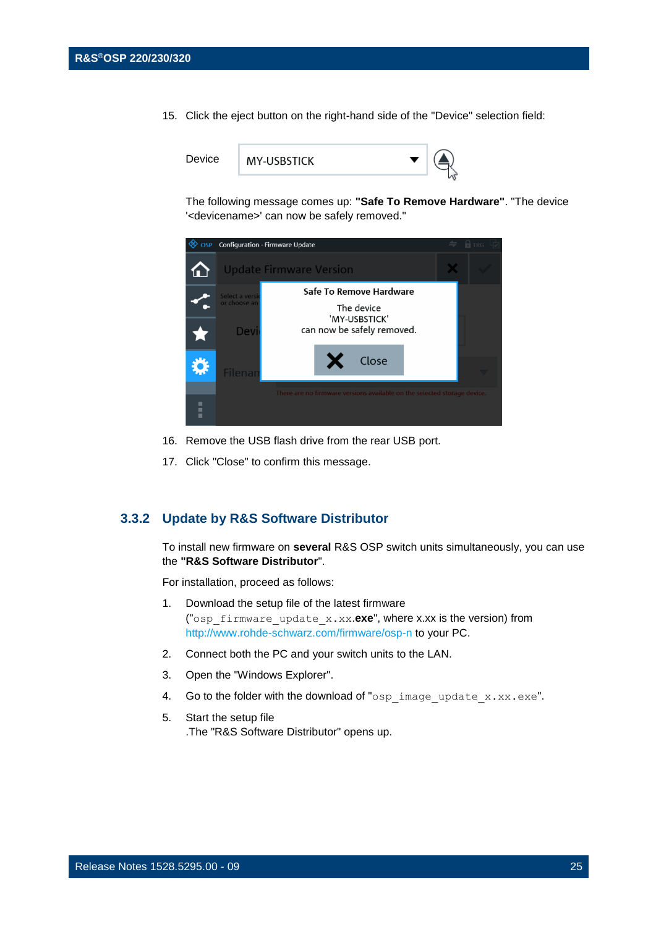15. Click the eject button on the right-hand side of the "Device" selection field:



The following message comes up: **"Safe To Remove Hardware"**. "The device '<devicename>' can now be safely removed."



- 16. Remove the USB flash drive from the rear USB port.
- <span id="page-24-0"></span>17. Click "Close" to confirm this message.

#### **3.3.2 Update by R&S Software Distributor**

To install new firmware on **several** R&S OSP switch units simultaneously, you can use the **"R&S Software Distributor**".

For installation, proceed as follows:

- 1. Download the setup file of the latest firmware ("osp\_firmware\_update\_x.xx.**exe**", where x.xx is the version) from [http://www.rohde-schwarz.com/firmware/osp-](http://www.rohde-schwarz.com/firmware/osp)n to your PC.
- 2. Connect both the PC and your switch units to the LAN.
- 3. Open the "Windows Explorer".
- 4. Go to the folder with the download of "osp\_image\_update\_x.xx.exe".
- 5. Start the setup file .The "R&S Software Distributor" opens up.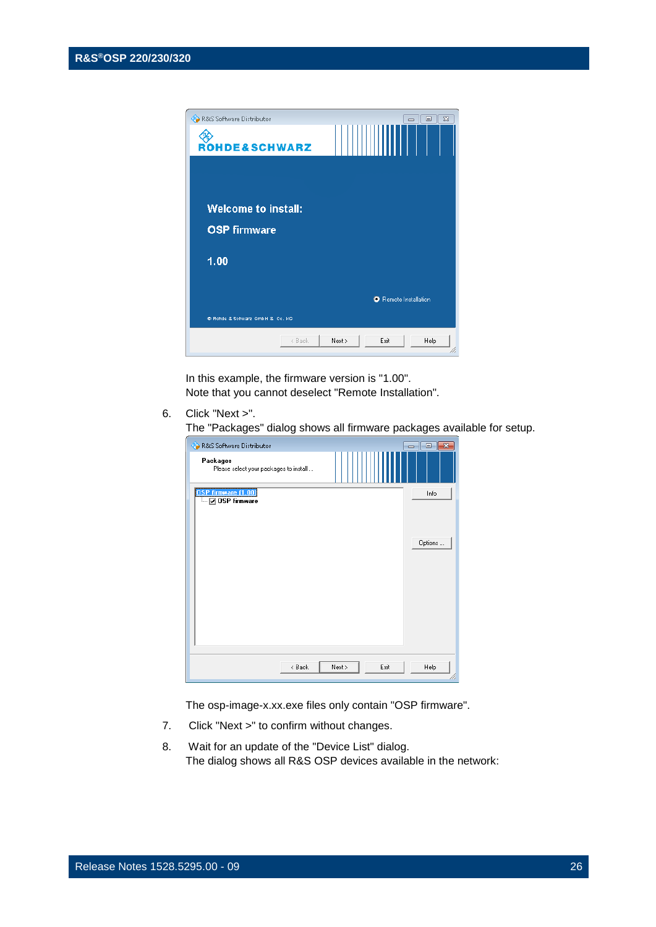

In this example, the firmware version is "1.00". Note that you cannot deselect "Remote Installation".

6. Click "Next >".

The "Packages" dialog shows all firmware packages available for setup.

| R&S Software Distributor                           |                | $\Box$ X<br>-- |
|----------------------------------------------------|----------------|----------------|
| Packages<br>Please select your packages to install |                |                |
| OSP firmware [1.00]<br>— Ø OSP firmware            |                | Info           |
|                                                    |                | Options        |
|                                                    |                |                |
| < Back                                             | Exit<br>Next > | Help           |

The osp-image-x.xx.exe files only contain "OSP firmware".

- 7. Click "Next >" to confirm without changes.
- 8. Wait for an update of the "Device List" dialog. The dialog shows all R&S OSP devices available in the network: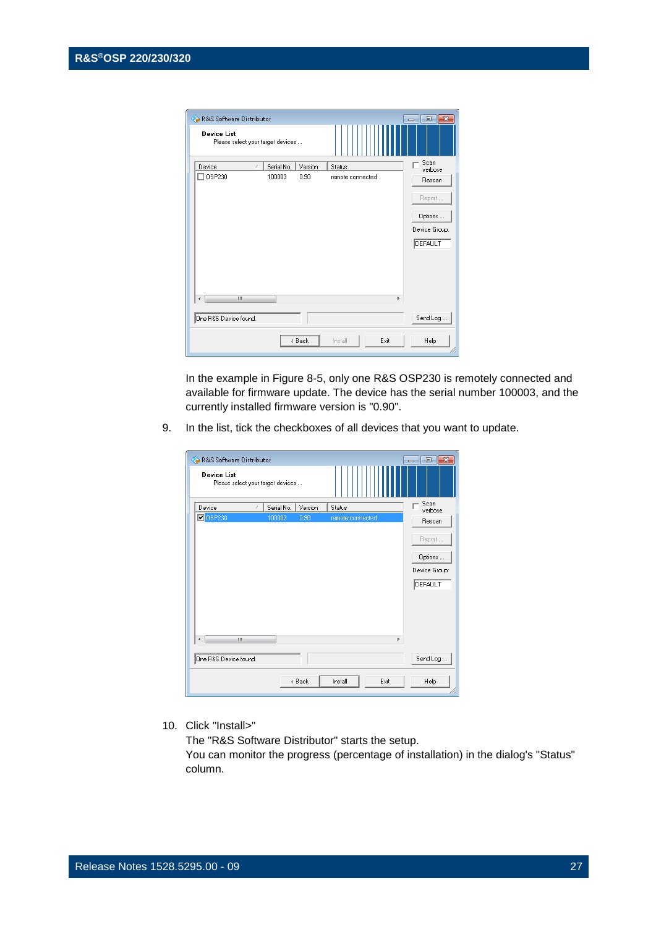| R&S Software Distributor                                |            |         |                  | $\overline{\phantom{a}}$ $\overline{\phantom{a}}$<br>  x |
|---------------------------------------------------------|------------|---------|------------------|----------------------------------------------------------|
| <b>Device List</b><br>Please select your target devices |            |         |                  |                                                          |
| Device<br>ž.                                            | Serial No. | Version | Status           | Scan<br>verbose                                          |
| OSP230                                                  | 100003     | 0.90    | remote connected | Rescan                                                   |
|                                                         |            |         |                  | Report                                                   |
|                                                         |            |         |                  | Options                                                  |
|                                                         |            |         |                  | Device Group:                                            |
|                                                         |            |         |                  | DEFAULT                                                  |
|                                                         |            |         |                  |                                                          |
| Ш<br>₫                                                  |            |         |                  | Þ                                                        |
| One R&S Device found.                                   |            |         |                  | Send Log                                                 |
|                                                         |            | < Back  | Exit<br>Install  | Help                                                     |

In the example in Figure 8-5, only one R&S OSP230 is remotely connected and available for firmware update. The device has the serial number 100003, and the currently installed firmware version is "0.90".

9. In the list, tick the checkboxes of all devices that you want to update.

| <b>Co</b> R&S Software Distributor<br><b>Device List</b> |                                   |                          |      | $\begin{array}{c c c c c c} \hline \multicolumn{3}{c }{\mathbf{C}} & \multicolumn{3}{c }{\mathbf{X}} \end{array}$ |
|----------------------------------------------------------|-----------------------------------|--------------------------|------|-------------------------------------------------------------------------------------------------------------------|
|                                                          | Please select your target devices |                          |      |                                                                                                                   |
| Device                                                   | Serial No.<br>ž.                  | Version<br>Status        |      | Scan<br>verbose                                                                                                   |
| <b>O</b> CSP230                                          | 100003                            | 0.90<br>remote connected |      | Rescan                                                                                                            |
|                                                          |                                   |                          |      | Report                                                                                                            |
|                                                          |                                   |                          |      | Options                                                                                                           |
|                                                          |                                   |                          |      | Device Group:                                                                                                     |
|                                                          |                                   |                          |      | DEFAULT                                                                                                           |
|                                                          |                                   |                          |      |                                                                                                                   |
|                                                          |                                   |                          |      |                                                                                                                   |
| ∢                                                        | ш                                 |                          | k    |                                                                                                                   |
| One R&S Device found.                                    |                                   |                          |      | Send Log                                                                                                          |
|                                                          | < Back                            | Install                  | Exit | Help                                                                                                              |

10. Click "Install>"

The "R&S Software Distributor" starts the setup.

You can monitor the progress (percentage of installation) in the dialog's "Status" column.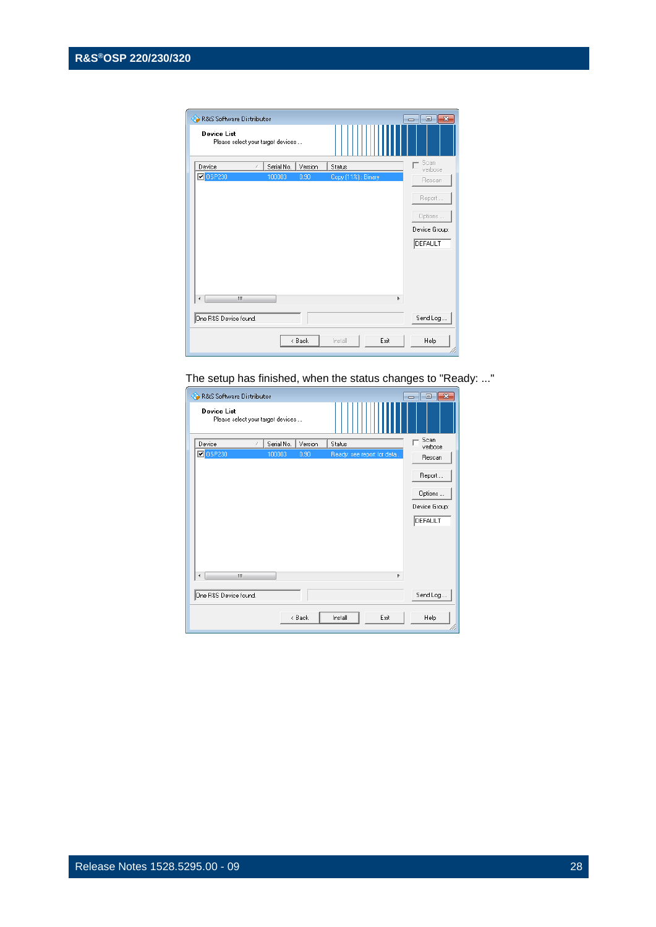| R&S Software Distributor |                                   |                     | ⊩х<br>$\Box$<br>- |
|--------------------------|-----------------------------------|---------------------|-------------------|
| <b>Device List</b>       | Please select your target devices |                     |                   |
| Device                   | Serial No.<br>Version<br>š.       | Status              | Scan<br>verbose   |
| <b>D</b> 0SP230          | 100003<br>0.90                    | Copy (11%) : Binary | Rescan            |
|                          |                                   |                     | Report            |
|                          |                                   |                     | Options           |
|                          |                                   |                     | Device Group:     |
|                          |                                   |                     | DEFAULT           |
|                          |                                   |                     |                   |
|                          |                                   |                     |                   |
| Ш                        |                                   |                     | r                 |
| One R&S Device found.    |                                   |                     | Send Log          |
|                          | < Back                            | Install             | Exit<br>Help      |

The setup has finished, when the status changes to "Ready: ..."

| R&S Software Distributor                                | $-x$<br><u>- 01</u>                  |
|---------------------------------------------------------|--------------------------------------|
| <b>Device List</b><br>Please select your target devices |                                      |
| Device<br>Serial No.<br>Version<br>Status               | Scan<br>verbose                      |
| <b>D</b> OSP230<br>100003<br>0.90                       | Ready: see report for deta<br>Rescan |
|                                                         | Report                               |
|                                                         | Options                              |
|                                                         | Device Group:                        |
|                                                         | DEFAULT                              |
| Ш<br>∢                                                  | Þ                                    |
| One R&S Device found.                                   | Send Log                             |
| Install<br>< Back                                       | Exit<br>Help                         |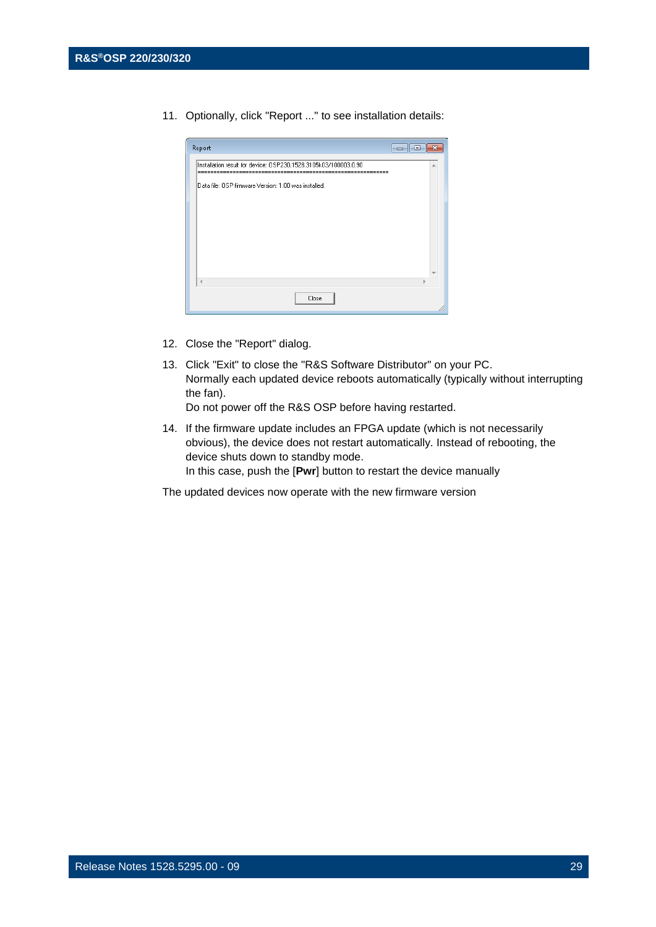11. Optionally, click "Report ..." to see installation details:

| Report<br>-0-                                                   | c |  |
|-----------------------------------------------------------------|---|--|
| Installation result for device: OSP230,1528.3105k03/100003,0.90 | ۸ |  |
| Data file: OSP firmware Version: 1.00 was installed.            |   |  |
|                                                                 |   |  |
|                                                                 |   |  |
|                                                                 |   |  |
|                                                                 |   |  |
| $\overline{A}$                                                  |   |  |
| Close                                                           |   |  |

- 12. Close the "Report" dialog.
- 13. Click "Exit" to close the "R&S Software Distributor" on your PC. Normally each updated device reboots automatically (typically without interrupting the fan). Do not power off the R&S OSP before having restarted.

14. If the firmware update includes an FPGA update (which is not necessarily obvious), the device does not restart automatically. Instead of rebooting, the device shuts down to standby mode. In this case, push the [**Pwr**] button to restart the device manually

The updated devices now operate with the new firmware version